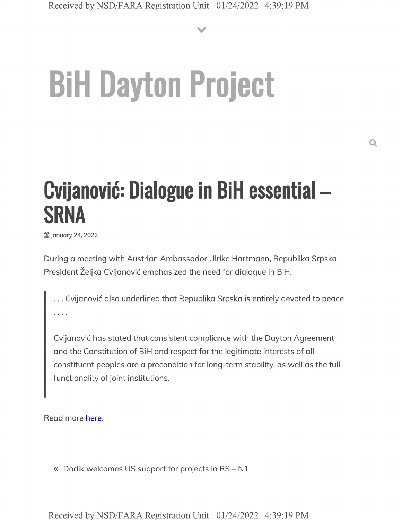**V**

## **BiH Dayton Project**

## **Cvijanovid: Dialogue in BiH essential - SRNA**

**的 January 24, 2022** 

During a meeting with Austrian Ambassador Ulrike Hartmann, Republika Srpska President Željka Cvijanović emphasized the need for dialogue in BiH.

... Cvijanović also underlined that Republika Srpska is entirely devoted to peace

Cvijanovic has stated that consistent compliance with the Dayton Agreement and the Constitution of BiH and respect for the legitimate interests of all constituent peoples are a precondition for long-term stability, as well as the full functionality of joint institutions.

Read more here.

« Dodik welcomes US support for projects in RS - N1

Received by NSD/FARA Registration Unit 01/24/2022 4:39:19 PM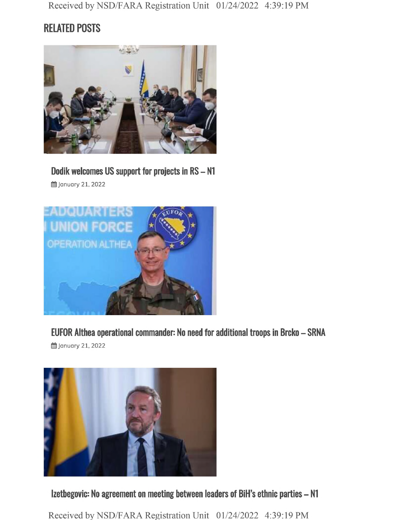## **RELATED POSTS**



**Dodik welcomes US support for projects in RS - <sup>N</sup>**

**曲 January 21, 2022** 



**EUFOR Althea operational commander: No need for additional troops in Brcko - SRNA**

§§ January 21, 2022



**Izetbegovic: No agreement on meeting between leaders of BiH's ethnic parties - N1**

Received by NSD/FARA Registration Unit 01/24/2022 4:39:19 PM